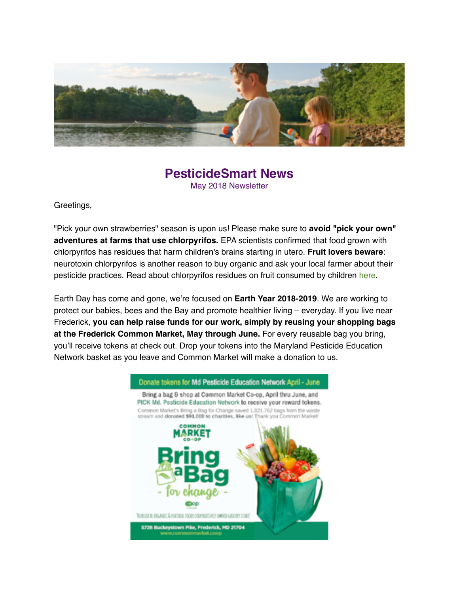

#### **PesticideSmart News** May 2018 Newsletter

Greetings,

"Pick your own strawberries" season is upon us! Please make sure to **avoid "pick your own" adventures at farms that use chlorpyrifos.** EPA scientists confirmed that food grown with chlorpyrifos has residues that harm children's brains starting in utero. **Fruit lovers beware**: neurotoxin chlorpyrifos is another reason to buy organic and ask your local farmer about their pesticide practices. Read about chlorpyrifos residues on fruit consumed by children [here](https://www.nrdc.org/experts/miriam-rotkin-ellman/epa-toxic-pesticide-fruitsveggies-puts-kids-risk).

Earth Day has come and gone, we're focused on **Earth Year 2018-2019**. We are working to protect our babies, bees and the Bay and promote healthier living – everyday. If you live near Frederick, **you can help raise funds for our work, simply by reusing your shopping bags at the Frederick Common Market, May through June.** For every reusable bag you bring, you'll receive tokens at check out. Drop your tokens into the Maryland Pesticide Education Network basket as you leave and Common Market will make a donation to us.

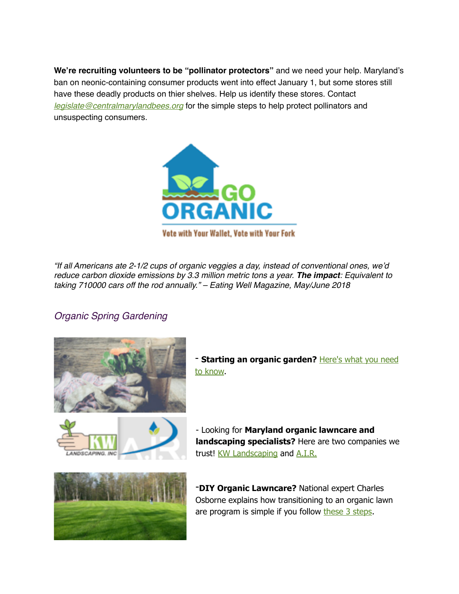**We're recruiting volunteers to be "pollinator protectors"** and we need your help. Maryland's ban on neonic-containing consumer products went into effect January 1, but some stores still have these deadly products on thier shelves. Help us identify these stores. Contact *[legislate@centralmarylandbees.org](mailto:legislate@centralmarylandbees.org?subject=)* for the simple steps to help protect pollinators and unsuspecting consumers.



*"If all Americans ate 2-1/2 cups of organic veggies a day, instead of conventional ones, we'd reduce carbon dioxide emissions by 3.3 million metric tons a year. The impact: Equivalent to taking 710000 cars off the rod annually." – Eating Well Magazine, May/June 2018*

#### *Organic Spring Gardening*



**[Starting an organic garden?](https://www.rodalesorganiclife.com/garden/beginners-guide-organic-gardening)** Here's what you need to know.



- Looking for **Maryland organic lawncare and landscaping specialists?** Here are two companies we trust! [KW Landscaping](http://www.kwlandscaping.com/) and [A.I.R.](http://contactair.today/)



-**DIY Organic Lawncare?** National expert Charles Osborne explains how transitioning to an organic lawn are program is simple if you follow [these 3 steps](https://osborneorganics.com/3-steps-to-an-organic-lawn-care-program/).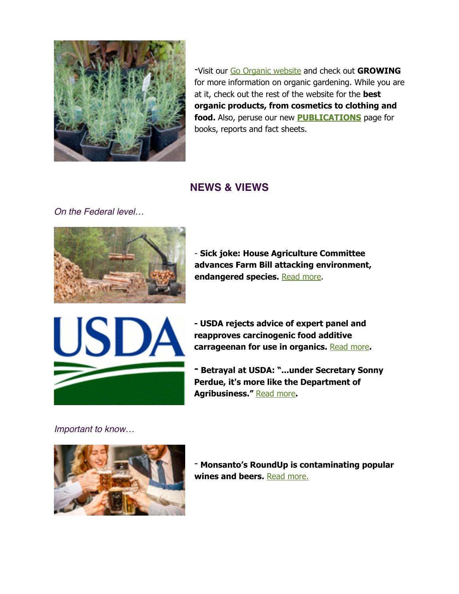

-Visit our [Go Organic website](http://www.apple.com) and check out **GROWING**  for more information on organic gardening. While you are at it, check out the rest of the website for the **best organic products, from cosmetics to clothing and food.** Also, peruse our new **[PUBLICATIONS](https://goorganicmd.org/publications/)** page for books, reports and fact sheets.

### **NEWS & VIEWS**

*On the Federal level…*



- **Sick joke: House Agriculture Committee advances Farm Bill attacking environment, endangered species.** [Read more](https://www.ecowatch.com/farm-bill-endangered-species-environment-2561444014.html?utm_campaign=RebelMouse&socialux=facebook&share_id=3533498&utm_medium=social&utm_content=EcoWatch&utm_source=facebook).



**- USDA rejects advice of expert panel and reapproves carcinogenic food additive carrageenan for use in organics.** [Read more](https://www.cornucopia.org/2018/04/usda-rejects-advice-of-expert-panel/)**.** 

**- Betrayal at USDA: "...under Secretary Sonny Perdue, it's more like the Department of Agribusiness."** [Read more](https://www.ucsusa.org/our-work/food-agriculture/unhealthy-food-policy/betrayal-usda-2018#.Wt9IpC_Mx0d)**.**

*Important to know…*



- **Monsanto's RoundUp is contaminating popular wines and beers.** [Read more.](https://www.rawstory.com/2018/03/monsantos-weedkiller-contaminating-popular-wines-beers/)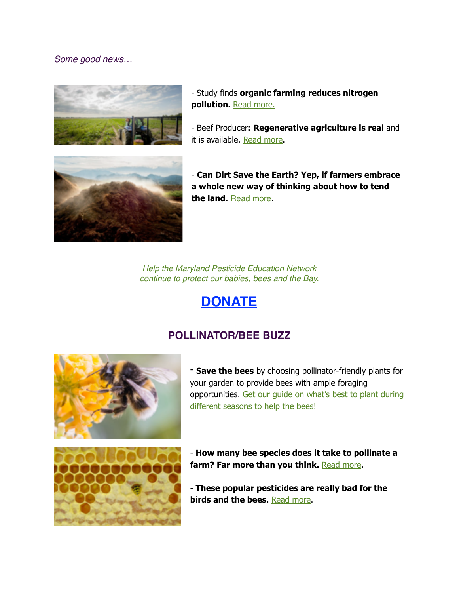*Some good news…*





- Beef Producer: **Regenerative agriculture is real** and it is available. [Read more](http://www.beefproducer.com/management/regenerative-agriculture-real-and-it-available).



- **Can Dirt Save the Earth? Yep, if farmers embrace a whole new way of thinking about how to tend the land.** [Read more](https://www.nytimes.com/2018/04/18/magazine/dirt-save-earth-carbon-farming-climate-change.html?smid=fb-share).

*Help the Maryland Pesticide Education Network continue to protect our babies, bees and the Bay.*

## **[DONATE](https://donatenow.networkforgood.org/MDSmartonPesticides)**

### **POLLINATOR/BEE BUZZ**



- **Save the bees** by choosing pollinator-friendly plants for your garden to provide bees with ample foraging [opportunities. Get our guide on what's best to plant during](https://www.centerforfoodsafety.org/files/flower-listupdate_45778.pdf)  different seasons to help the bees!



- **How many bee species does it take to pollinate a**  farm? Far more than you think. [Read more](http://www.anthropocenemagazine.org/2018/02/how-many-bee-species-does-it-take-to-pollinate-a-farm-far-more-than-you-think/).

- **These popular pesticides are really bad for the birds and the bees.** [Read more.](https://www.motherjones.com/food/2018/02/neonicotinoid-pesticides-bird-migrations-bee-farmers-corn-soybeans/)